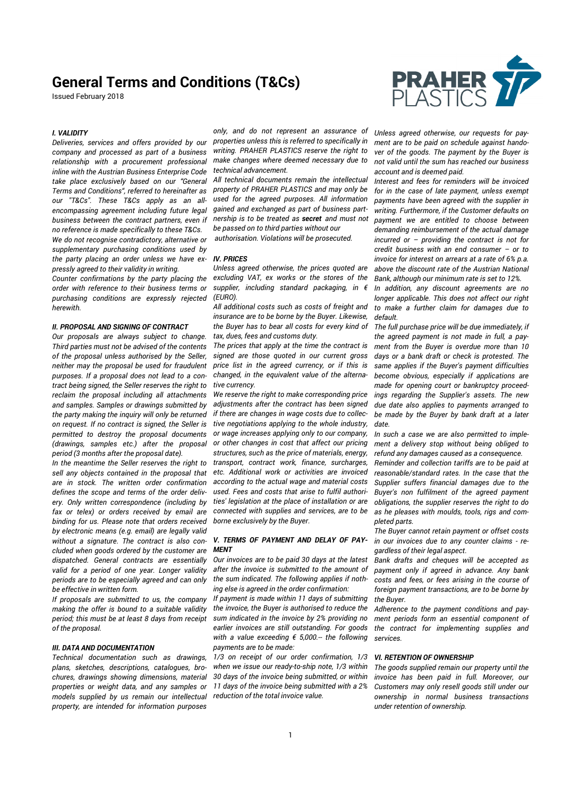Issued February 2018



### *I. VALIDITY*

*Deliveries, services and offers provided by our company and processed as part of a business relationship with a procurement professional inline with the Austrian Business Enterprise Code take place exclusively based on our "General Terms and Conditions", referred to hereinafter as our "T&Cs". These T&Cs apply as an allencompassing agreement including future legal business between the contract partners, even if no reference is made specifically to these T&Cs. We do not recognise contradictory, alternative or supplementary purchasing conditions used by the party placing an order unless we have expressly agreed to their validity in writing.* 

*Counter confirmations by the party placing the order with reference to their business terms or purchasing conditions are expressly rejected herewith.* 

#### *II. PROPOSAL AND SIGNING OF CONTRACT*

*Our proposals are always subject to change. Third parties must not be advised of the contents of the proposal unless authorised by the Seller, neither may the proposal be used for fraudulent purposes. If a proposal does not lead to a contract being signed, the Seller reserves the right to reclaim the proposal including all attachments and samples. Samples or drawings submitted by the party making the inquiry will only be returned on request. If no contract is signed, the Seller is permitted to destroy the proposal documents (drawings, samples etc.) after the proposal period (3 months after the proposal date).* 

*In the meantime the Seller reserves the right to sell any objects contained in the proposal that are in stock. The written order confirmation defines the scope and terms of the order delivery. Only written correspondence (including by fax or telex) or orders received by email are binding for us. Please note that orders received by electronic means (e.g. email) are legally valid without a signature. The contract is also concluded when goods ordered by the customer are dispatched. General contracts are essentially valid for a period of one year. Longer validity periods are to be especially agreed and can only be effective in written form.* 

*If proposals are submitted to us, the company making the offer is bound to a suitable validity period; this must be at least 8 days from receipt of the proposal.* 

#### *III. DATA AND DOCUMENTATION*

*Technical documentation such as drawings, plans, sketches, descriptions, catalogues, brochures, drawings showing dimensions, material properties or weight data, and any samples or models supplied by us remain our intellectual property, are intended for information purposes* 

*only, and do not represent an assurance of properties unless this is referred to specifically in writing. PRAHER PLASTICS reserve the right to make changes where deemed necessary due to technical advancement.* 

*All technical documents remain the intellectual property of PRAHER PLASTICS and may only be used for the agreed purposes. All information gained and exchanged as part of business partnership is to be treated as secret and must not be passed on to third parties without our authorisation. Violations will be prosecuted.*

#### *IV. PRICES*

*Unless agreed otherwise, the prices quoted are excluding VAT, ex works or the stores of the supplier, including standard packaging, in € (EURO).* 

*All additional costs such as costs of freight and insurance are to be borne by the Buyer. Likewise, the Buyer has to bear all costs for every kind of tax, dues, fees and customs duty.* 

*The prices that apply at the time the contract is signed are those quoted in our current gross price list in the agreed currency, or if this is changed, in the equivalent value of the alternative currency.* 

*We reserve the right to make corresponding price adjustments after the contract has been signed if there are changes in wage costs due to collective negotiations applying to the whole industry, or wage increases applying only to our company, or other changes in cost that affect our pricing structures, such as the price of materials, energy, transport, contract work, finance, surcharges, etc. Additional work or activities are invoiced according to the actual wage and material costs used. Fees and costs that arise to fulfil authorities' legislation at the place of installation or are connected with supplies and services, are to be borne exclusively by the Buyer.* 

#### *V. TERMS OF PAYMENT AND DELAY OF PAY-MENT*

*Our invoices are to be paid 30 days at the latest after the invoice is submitted to the amount of the sum indicated. The following applies if nothing else is agreed in the order confirmation:* 

*If payment is made within 11 days of submitting the invoice, the Buyer is authorised to reduce the sum indicated in the invoice by 2% providing no earlier invoices are still outstanding. For goods with a value exceeding € 5,000.-- the following payments are to be made:* 

*1/3 on receipt of our order confirmation, 1/3 when we issue our ready-to-ship note, 1/3 within 30 days of the invoice being submitted, or within 11 days of the invoice being submitted with a 2% reduction of the total invoice value.* 

*Unless agreed otherwise, our requests for payment are to be paid on schedule against handover of the goods. The payment by the Buyer is not valid until the sum has reached our business account and is deemed paid.* 

*Interest and fees for reminders will be invoiced for in the case of late payment, unless exempt payments have been agreed with the supplier in writing. Furthermore, if the Customer defaults on payment we are entitled to choose between demanding reimbursement of the actual damage incurred or – providing the contract is not for credit business with an end consumer – or to invoice for interest on arrears at a rate of 6% p.a. above the discount rate of the Austrian National Bank, although our minimum rate is set to 12%.* 

*In addition, any discount agreements are no longer applicable. This does not affect our right to make a further claim for damages due to default.* 

*The full purchase price will be due immediately, if the agreed payment is not made in full, a payment from the Buyer is overdue more than 10 days or a bank draft or check is protested. The same applies if the Buyer's payment difficulties become obvious, especially if applications are made for opening court or bankruptcy proceedings regarding the Supplier's assets. The new due date also applies to payments arranged to be made by the Buyer by bank draft at a later date.* 

*In such a case we are also permitted to implement a delivery stop without being obliged to refund any damages caused as a consequence.* 

*Reminder and collection tariffs are to be paid at reasonable/standard rates. In the case that the Supplier suffers financial damages due to the Buyer's non fulfilment of the agreed payment obligations, the supplier reserves the right to do as he pleases with moulds, tools, rigs and completed parts.* 

*The Buyer cannot retain payment or offset costs in our invoices due to any counter claims - regardless of their legal aspect.* 

*Bank drafts and cheques will be accepted as payment only if agreed in advance. Any bank costs and fees, or fees arising in the course of foreign payment transactions, are to be borne by the Buyer.* 

*Adherence to the payment conditions and payment periods form an essential component of the contract for implementing supplies and services.* 

#### *VI. RETENTION OF OWNERSHIP*

*The goods supplied remain our property until the invoice has been paid in full. Moreover, our Customers may only resell goods still under our ownership in normal business transactions under retention of ownership.*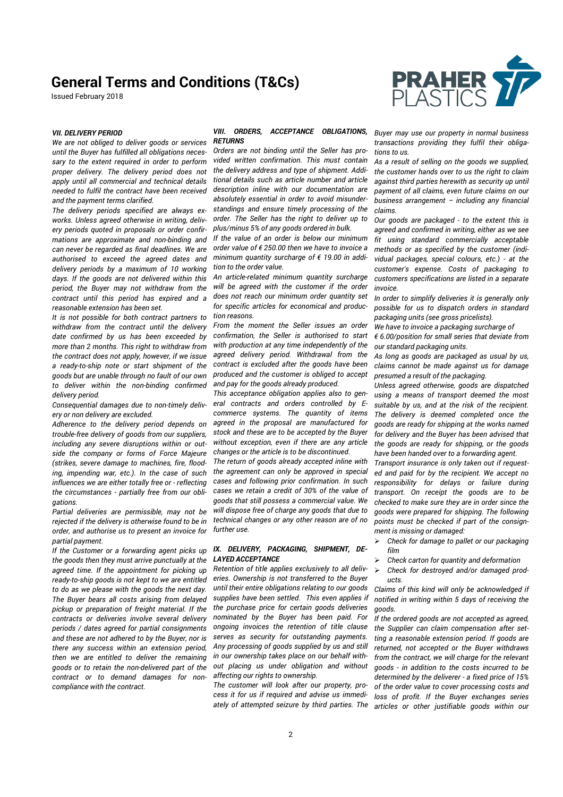Issued February 2018



### *VII. DELIVERY PERIOD*

*We are not obliged to deliver goods or services until the Buyer has fulfilled all obligations necessary to the extent required in order to perform proper delivery. The delivery period does not apply until all commercial and technical details needed to fulfil the contract have been received and the payment terms clarified.* 

*The delivery periods specified are always exworks. Unless agreed otherwise in writing, delivery periods quoted in proposals or order confirmations are approximate and non-binding and can never be regarded as final deadlines. We are authorised to exceed the agreed dates and delivery periods by a maximum of 10 working days. If the goods are not delivered within this period, the Buyer may not withdraw from the contract until this period has expired and a reasonable extension has been set.* 

*It is not possible for both contract partners to withdraw from the contract until the delivery date confirmed by us has been exceeded by more than 2 months. This right to withdraw from the contract does not apply, however, if we issue a ready-to-ship note or start shipment of the goods but are unable through no fault of our own to deliver within the non-binding confirmed delivery period.* 

*Consequential damages due to non-timely delivery or non delivery are excluded.* 

*Adherence to the delivery period depends on trouble-free delivery of goods from our suppliers, including any severe disruptions within or outside the company or forms of Force Majeure (strikes, severe damage to machines, fire, flooding, impending war, etc.). In the case of such influences we are either totally free or - reflecting the circumstances - partially free from our obligations.* 

*Partial deliveries are permissible, may not be rejected if the delivery is otherwise found to be in order, and authorise us to present an invoice for partial payment.* 

*If the Customer or a forwarding agent picks up the goods then they must arrive punctually at the agreed time. If the appointment for picking up ready-to-ship goods is not kept to we are entitled to do as we please with the goods the next day. The Buyer bears all costs arising from delayed pickup or preparation of freight material. If the contracts or deliveries involve several delivery periods / dates agreed for partial consignments and these are not adhered to by the Buyer, nor is there any success within an extension period, then we are entitled to deliver the remaining goods or to retain the non-delivered part of the contract or to demand damages for noncompliance with the contract.* 

#### *VIII. ORDERS, ACCEPTANCE OBLIGATIONS, RETURNS*

*Orders are not binding until the Seller has provided written confirmation. This must contain the delivery address and type of shipment. Additional details such as article number and article description inline with our documentation are absolutely essential in order to avoid misunderstandings and ensure timely processing of the order. The Seller has the right to deliver up to plus/minus 5% of any goods ordered in bulk.* 

*If the value of an order is below our minimum order value of € 250.00 then we have to invoice a minimum quantity surcharge of € 19.00 in addition to the order value.* 

*An article-related minimum quantity surcharge will be agreed with the customer if the order does not reach our minimum order quantity set for specific articles for economical and production reasons.* 

*From the moment the Seller issues an order confirmation, the Seller is authorised to start with production at any time independently of the agreed delivery period. Withdrawal from the contract is excluded after the goods have been produced and the customer is obliged to accept and pay for the goods already produced.* 

*This acceptance obligation applies also to general contracts and orders controlled by Ecommerce systems. The quantity of items agreed in the proposal are manufactured for stock and these are to be accepted by the Buyer without exception, even if there are any article changes or the article is to be discontinued.* 

*The return of goods already accepted inline with the agreement can only be approved in special cases and following prior confirmation. In such cases we retain a credit of 30% of the value of goods that still possess a commercial value. We will dispose free of charge any goods that due to technical changes or any other reason are of no further use.* 

#### *IX. DELIVERY, PACKAGING, SHIPMENT, DE-LAYED ACCEPTANCE*

*Retention of title applies exclusively to all deliveries. Ownership is not transferred to the Buyer until their entire obligations relating to our goods supplies have been settled. This even applies if the purchase price for certain goods deliveries nominated by the Buyer has been paid. For ongoing invoices the retention of title clause serves as security for outstanding payments. Any processing of goods supplied by us and still in our ownership takes place on our behalf without placing us under obligation and without affecting our rights to ownership.* 

*The customer will look after our property, process it for us if required and advise us immedi-* *Buyer may use our property in normal business transactions providing they fulfil their obligations to us.* 

*As a result of selling on the goods we supplied, the customer hands over to us the right to claim against third parties herewith as security up until payment of all claims, even future claims on our business arrangement – including any financial claims.* 

*Our goods are packaged - to the extent this is agreed and confirmed in writing, either as we see fit using standard commercially acceptable methods or as specified by the customer (individual packages, special colours, etc.) - at the customer's expense. Costs of packaging to customers specifications are listed in a separate invoice.* 

*In order to simplify deliveries it is generally only possible for us to dispatch orders in standard packaging units (see gross pricelists).* 

*We have to invoice a packaging surcharge of* 

*€ 6.00/position for small series that deviate from our standard packaging units.* 

*As long as goods are packaged as usual by us, claims cannot be made against us for damage presumed a result of the packaging.* 

*Unless agreed otherwise, goods are dispatched using a means of transport deemed the most suitable by us, and at the risk of the recipient. The delivery is deemed completed once the goods are ready for shipping at the works named for delivery and the Buyer has been advised that the goods are ready for shipping, or the goods have been handed over to a forwarding agent.* 

*Transport insurance is only taken out if requested and paid for by the recipient. We accept no responsibility for delays or failure during transport. On receipt the goods are to be checked to make sure they are in order since the goods were prepared for shipping. The following points must be checked if part of the consignment is missing or damaged:* 

- *Check for damage to pallet or our packaging film*
- *Check carton for quantity and deformation*
- *Check for destroyed and/or damaged products.*

*Claims of this kind will only be acknowledged if notified in writing within 5 days of receiving the goods.* 

*ately of attempted seizure by third parties. The articles or other justifiable goods within our If the ordered goods are not accepted as agreed, the Supplier can claim compensation after setting a reasonable extension period. If goods are returned, not accepted or the Buyer withdraws from the contract, we will charge for the relevant goods - in addition to the costs incurred to be determined by the deliverer - a fixed price of 15% of the order value to cover processing costs and loss of profit. If the Buyer exchanges series*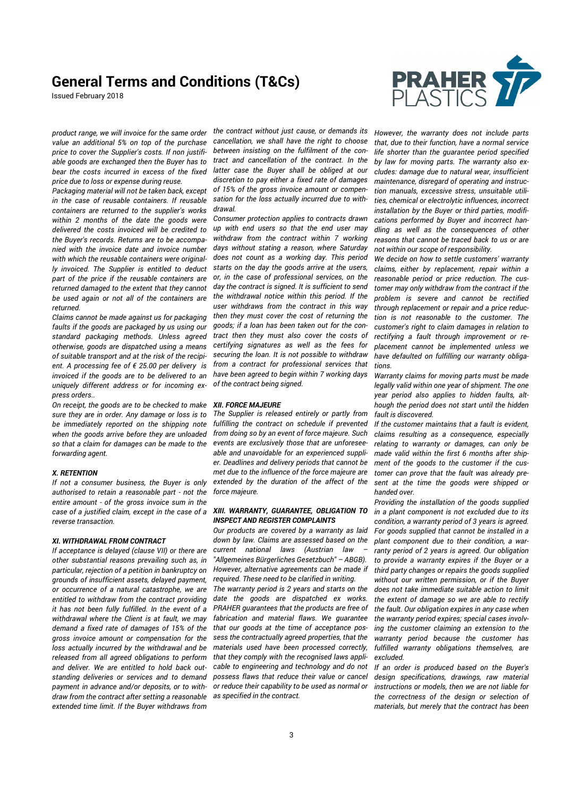Issued February 2018



*product range, we will invoice for the same order value an additional 5% on top of the purchase price to cover the Supplier's costs. If non justifiable goods are exchanged then the Buyer has to bear the costs incurred in excess of the fixed price due to loss or expense during reuse.* 

*Packaging material will not be taken back, except in the case of reusable containers. If reusable containers are returned to the supplier's works within 2 months of the date the goods were delivered the costs invoiced will be credited to the Buyer's records. Returns are to be accompanied with the invoice date and invoice number*  with which the reusable containers were original*ly invoiced. The Supplier is entitled to deduct part of the price if the reusable containers are returned damaged to the extent that they cannot be used again or not all of the containers are returned.* 

*Claims cannot be made against us for packaging faults if the goods are packaged by us using our standard packaging methods. Unless agreed otherwise, goods are dispatched using a means of suitable transport and at the risk of the recipient. A processing fee of € 25.00 per delivery is invoiced if the goods are to be delivered to an uniquely different address or for incoming express orders..* 

*On receipt, the goods are to be checked to make sure they are in order. Any damage or loss is to be immediately reported on the shipping note when the goods arrive before they are unloaded so that a claim for damages can be made to the forwarding agent.* 

#### *X. RETENTION*

*If not a consumer business, the Buyer is only authorised to retain a reasonable part - not the entire amount - of the gross invoice sum in the case of a justified claim, except in the case of a reverse transaction.* 

#### *XI. WITHDRAWAL FROM CONTRACT*

*If acceptance is delayed (clause VII) or there are other substantial reasons prevailing such as, in particular, rejection of a petition in bankruptcy on grounds of insufficient assets, delayed payment, or occurrence of a natural catastrophe, we are entitled to withdraw from the contract providing it has not been fully fulfilled. In the event of a withdrawal where the Client is at fault, we may demand a fixed rate of damages of 15% of the gross invoice amount or compensation for the loss actually incurred by the withdrawal and be released from all agreed obligations to perform and deliver. We are entitled to hold back outstanding deliveries or services and to demand payment in advance and/or deposits, or to withdraw from the contract after setting a reasonable extended time limit. If the Buyer withdraws from* 

*the contract without just cause, or demands its cancellation, we shall have the right to choose between insisting on the fulfilment of the contract and cancellation of the contract. In the latter case the Buyer shall be obliged at our discretion to pay either a fixed rate of damages of 15% of the gross invoice amount or compensation for the loss actually incurred due to withdrawal.* 

*Consumer protection applies to contracts drawn up with end users so that the end user may withdraw from the contract within 7 working days without stating a reason, where Saturday does not count as a working day. This period starts on the day the goods arrive at the users, or, in the case of professional services, on the day the contract is signed. It is sufficient to send the withdrawal notice within this period. If the user withdraws from the contract in this way then they must cover the cost of returning the goods; if a loan has been taken out for the contract then they must also cover the costs of certifying signatures as well as the fees for securing the loan. It is not possible to withdraw from a contract for professional services that have been agreed to begin within 7 working days of the contract being signed.* 

#### *XII. FORCE MAJEURE*

*The Supplier is released entirely or partly from fulfilling the contract on schedule if prevented from doing so by an event of force majeure. Such events are exclusively those that are unforeseeable and unavoidable for an experienced supplier. Deadlines and delivery periods that cannot be met due to the influence of the force majeure are extended by the duration of the affect of the force majeure.* 

#### *XIII. WARRANTY, GUARANTEE, OBLIGATION TO INSPECT AND REGISTER COMPLAINTS*

*Our products are covered by a warranty as laid down by law. Claims are assessed based on the current national laws (Austrian law – "Allgemeines Bürgerliches Gesetzbuch" – ABGB). However, alternative agreements can be made if required. These need to be clarified in writing.* 

*The warranty period is 2 years and starts on the date the goods are dispatched ex works. PRAHER guarantees that the products are free of fabrication and material flaws. We guarantee that our goods at the time of acceptance possess the contractually agreed properties, that the materials used have been processed correctly, that they comply with the recognised laws applicable to engineering and technology and do not possess flaws that reduce their value or cancel or reduce their capability to be used as normal or as specified in the contract.* 

*However, the warranty does not include parts that, due to their function, have a normal service life shorter than the guarantee period specified by law for moving parts. The warranty also excludes: damage due to natural wear, insufficient maintenance, disregard of operating and instruction manuals, excessive stress, unsuitable utilities, chemical or electrolytic influences, incorrect installation by the Buyer or third parties, modifications performed by Buyer and incorrect handling as well as the consequences of other reasons that cannot be traced back to us or are not within our scope of responsibility.* 

*We decide on how to settle customers' warranty claims, either by replacement, repair within a reasonable period or price reduction. The customer may only withdraw from the contract if the problem is severe and cannot be rectified through replacement or repair and a price reduction is not reasonable to the customer. The customer's right to claim damages in relation to rectifying a fault through improvement or replacement cannot be implemented unless we have defaulted on fulfilling our warranty obligations.* 

*Warranty claims for moving parts must be made legally valid within one year of shipment. The one year period also applies to hidden faults, although the period does not start until the hidden fault is discovered.* 

*If the customer maintains that a fault is evident, claims resulting as a consequence, especially relating to warranty or damages, can only be made valid within the first 6 months after shipment of the goods to the customer if the customer can prove that the fault was already present at the time the goods were shipped or handed over.* 

*Providing the installation of the goods supplied in a plant component is not excluded due to its condition, a warranty period of 3 years is agreed. For goods supplied that cannot be installed in a plant component due to their condition, a warranty period of 2 years is agreed. Our obligation to provide a warranty expires if the Buyer or a third party changes or repairs the goods supplied without our written permission, or if the Buyer does not take immediate suitable action to limit the extent of damage so we are able to rectify the fault. Our obligation expires in any case when the warranty period expires; special cases involving the customer claiming an extension to the warranty period because the customer has fulfilled warranty obligations themselves, are excluded.* 

*If an order is produced based on the Buyer's design specifications, drawings, raw material instructions or models, then we are not liable for the correctness of the design or selection of materials, but merely that the contract has been*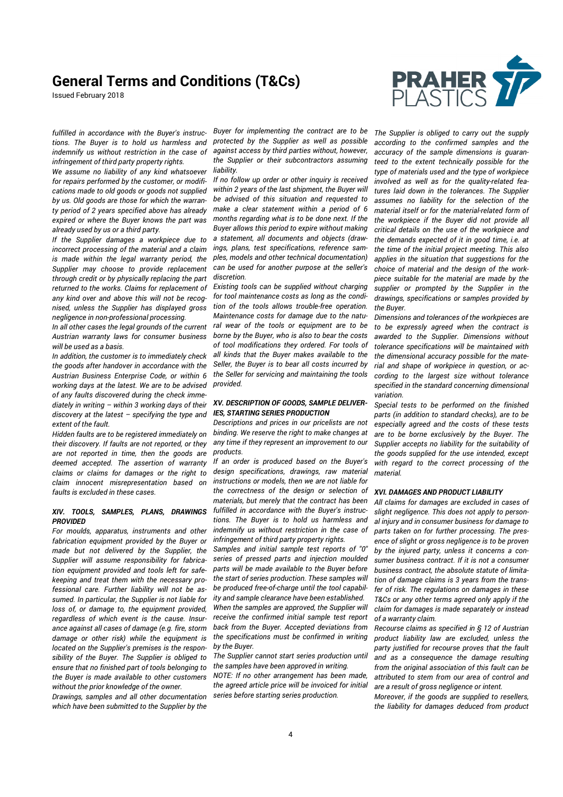Issued February 2018



*fulfilled in accordance with the Buyer's instructions. The Buyer is to hold us harmless and indemnify us without restriction in the case of infringement of third party property rights.* 

*We assume no liability of any kind whatsoever for repairs performed by the customer, or modifications made to old goods or goods not supplied by us. Old goods are those for which the warranty period of 2 years specified above has already expired or where the Buyer knows the part was already used by us or a third party.* 

*If the Supplier damages a workpiece due to incorrect processing of the material and a claim is made within the legal warranty period, the Supplier may choose to provide replacement through credit or by physically replacing the part returned to the works. Claims for replacement of any kind over and above this will not be recognised, unless the Supplier has displayed gross negligence in non-professional processing.* 

*In all other cases the legal grounds of the current Austrian warranty laws for consumer business will be used as a basis.* 

*In addition, the customer is to immediately check the goods after handover in accordance with the Austrian Business Enterprise Code, or within 6 working days at the latest. We are to be advised of any faults discovered during the check immediately in writing – within 3 working days of their discovery at the latest – specifying the type and extent of the fault.* 

*Hidden faults are to be registered immediately on their discovery. If faults are not reported, or they are not reported in time, then the goods are deemed accepted. The assertion of warranty claims or claims for damages or the right to claim innocent misrepresentation based on faults is excluded in these cases.* 

#### *XIV. TOOLS, SAMPLES, PLANS, DRAWINGS PROVIDED*

*For moulds, apparatus, instruments and other fabrication equipment provided by the Buyer or made but not delivered by the Supplier, the Supplier will assume responsibility for fabrication equipment provided and tools left for safekeeping and treat them with the necessary professional care. Further liability will not be assumed. In particular, the Supplier is not liable for loss of, or damage to, the equipment provided, regardless of which event is the cause. Insurance against all cases of damage (e.g. fire, storm damage or other risk) while the equipment is located on the Supplier's premises is the responsibility of the Buyer. The Supplier is obliged to ensure that no finished part of tools belonging to the Buyer is made available to other customers without the prior knowledge of the owner.* 

*Drawings, samples and all other documentation which have been submitted to the Supplier by the* 

*Buyer for implementing the contract are to be protected by the Supplier as well as possible against access by third parties without, however, the Supplier or their subcontractors assuming liability.* 

*If no follow up order or other inquiry is received within 2 years of the last shipment, the Buyer will be advised of this situation and requested to make a clear statement within a period of 6 months regarding what is to be done next. If the Buyer allows this period to expire without making a statement, all documents and objects (drawings, plans, test specifications, reference samples, models and other technical documentation) can be used for another purpose at the seller's discretion.* 

*Existing tools can be supplied without charging for tool maintenance costs as long as the condition of the tools allows trouble-free operation. Maintenance costs for damage due to the natural wear of the tools or equipment are to be borne by the Buyer, who is also to bear the costs of tool modifications they ordered. For tools of all kinds that the Buyer makes available to the Seller, the Buyer is to bear all costs incurred by the Seller for servicing and maintaining the tools provided.* 

#### *XV. DESCRIPTION OF GOODS, SAMPLE DELIVER-IES, STARTING SERIES PRODUCTION*

*Descriptions and prices in our pricelists are not binding. We reserve the right to make changes at any time if they represent an improvement to our products.* 

*If an order is produced based on the Buyer's design specifications, drawings, raw material instructions or models, then we are not liable for the correctness of the design or selection of materials, but merely that the contract has been fulfilled in accordance with the Buyer's instructions. The Buyer is to hold us harmless and indemnify us without restriction in the case of infringement of third party property rights.* 

*Samples and initial sample test reports of "0" series of pressed parts and injection moulded parts will be made available to the Buyer before the start of series production. These samples will be produced free-of-charge until the tool capability and sample clearance have been established. When the samples are approved, the Supplier will receive the confirmed initial sample test report back from the Buyer. Accepted deviations from the specifications must be confirmed in writing by the Buyer.* 

*The Supplier cannot start series production until the samples have been approved in writing. NOTE: If no other arrangement has been made, the agreed article price will be invoiced for initial series before starting series production.* 

*The Supplier is obliged to carry out the supply according to the confirmed samples and the accuracy of the sample dimensions is guaranteed to the extent technically possible for the type of materials used and the type of workpiece involved as well as for the quality-related features laid down in the tolerances. The Supplier assumes no liability for the selection of the material itself or for the material-related form of the workpiece if the Buyer did not provide all critical details on the use of the workpiece and the demands expected of it in good time, i.e. at the time of the initial project meeting. This also applies in the situation that suggestions for the choice of material and the design of the workpiece suitable for the material are made by the supplier or prompted by the Supplier in the drawings, specifications or samples provided by the Buyer.* 

*Dimensions and tolerances of the workpieces are to be expressly agreed when the contract is awarded to the Supplier. Dimensions without tolerance specifications will be maintained with the dimensional accuracy possible for the material and shape of workpiece in question, or according to the largest size without tolerance specified in the standard concerning dimensional variation.* 

*Special tests to be performed on the finished parts (in addition to standard checks), are to be especially agreed and the costs of these tests are to be borne exclusively by the Buyer. The Supplier accepts no liability for the suitability of the goods supplied for the use intended, except with regard to the correct processing of the material.* 

### *XVI. DAMAGES AND PRODUCT LIABILITY*

*All claims for damages are excluded in cases of slight negligence. This does not apply to personal injury and in consumer business for damage to parts taken on for further processing. The presence of slight or gross negligence is to be proven by the injured party, unless it concerns a consumer business contract. If it is not a consumer business contract, the absolute statute of limitation of damage claims is 3 years from the transfer of risk. The regulations on damages in these T&Cs or any other terms agreed only apply if the claim for damages is made separately or instead of a warranty claim.* 

*Recourse claims as specified in § 12 of Austrian product liability law are excluded, unless the party justified for recourse proves that the fault and as a consequence the damage resulting from the original association of this fault can be attributed to stem from our area of control and are a result of gross negligence or intent.* 

*Moreover, if the goods are supplied to resellers, the liability for damages deduced from product*